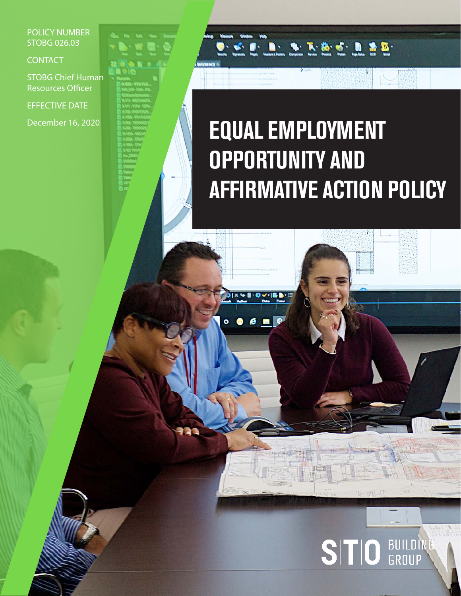# POLICY NUMBER STOBG 026.03

## **CONTACT**

STOBG Chief Human Resources Officer

EFFECTIVE DATE



**NXVE OVIE** 

ê

# December 16, 2020 **EQUAL EMPLOYMENT OPPORTUNITY AND AFFIRMATIVE ACTION POLICY**

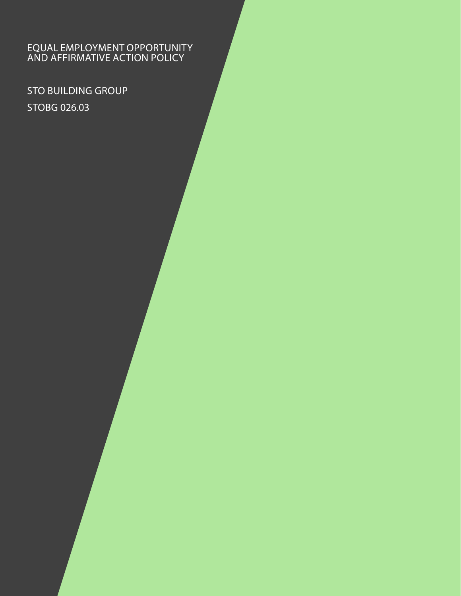# EQUAL EMPLOYMENT OPPORTUNITY AND AFFIRMATIVE ACTION POLICY

STO BUILDING GROUP STOBG 026.03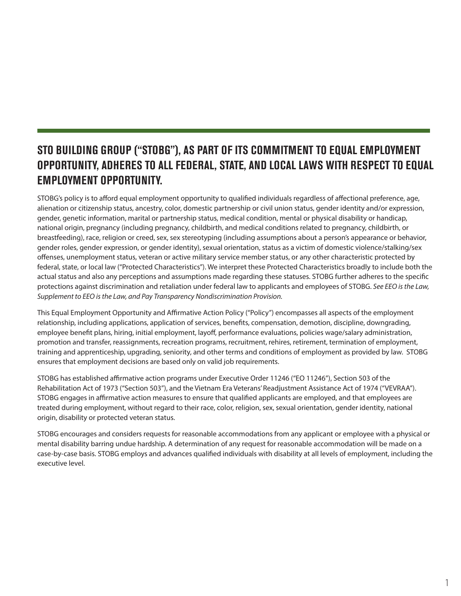# **STO BUILDING GROUP ("STOBG"), AS PART OF ITS COMMITMENT TO EQUAL EMPLOYMENT OPPORTUNITY, ADHERES TO ALL FEDERAL, STATE, AND LOCAL LAWS WITH RESPECT TO EQUAL EMPLOYMENT OPPORTUNITY.**

STOBG's policy is to afford equal employment opportunity to qualified individuals regardless of affectional preference, age, alienation or citizenship status, ancestry, color, domestic partnership or civil union status, gender identity and/or expression, gender, genetic information, marital or partnership status, medical condition, mental or physical disability or handicap, national origin, pregnancy (including pregnancy, childbirth, and medical conditions related to pregnancy, childbirth, or breastfeeding), race, religion or creed, sex, sex stereotyping (including assumptions about a person's appearance or behavior, gender roles, gender expression, or gender identity), sexual orientation, status as a victim of domestic violence/stalking/sex offenses, unemployment status, veteran or active military service member status, or any other characteristic protected by federal, state, or local law ("Protected Characteristics"). We interpret these Protected Characteristics broadly to include both the actual status and also any perceptions and assumptions made regarding these statuses. STOBG further adheres to the specific protections against discrimination and retaliation under federal law to applicants and employees of STOBG. *See EEO is the Law, Supplement to EEO is the Law, and Pay Transparency Nondiscrimination Provision.* 

This Equal Employment Opportunity and Affirmative Action Policy ("Policy") encompasses all aspects of the employment relationship, including applications, application of services, benefits, compensation, demotion, discipline, downgrading, employee benefit plans, hiring, initial employment, layoff, performance evaluations, policies wage/salary administration, promotion and transfer, reassignments, recreation programs, recruitment, rehires, retirement, termination of employment, training and apprenticeship, upgrading, seniority, and other terms and conditions of employment as provided by law. STOBG ensures that employment decisions are based only on valid job requirements.

STOBG has established affirmative action programs under Executive Order 11246 ("EO 11246"), Section 503 of the Rehabilitation Act of 1973 ("Section 503"), and the Vietnam Era Veterans' Readjustment Assistance Act of 1974 ("VEVRAA"). STOBG engages in affirmative action measures to ensure that qualified applicants are employed, and that employees are treated during employment, without regard to their race, color, religion, sex, sexual orientation, gender identity, national origin, disability or protected veteran status.

STOBG encourages and considers requests for reasonable accommodations from any applicant or employee with a physical or mental disability barring undue hardship. A determination of any request for reasonable accommodation will be made on a case-by-case basis. STOBG employs and advances qualified individuals with disability at all levels of employment, including the executive level.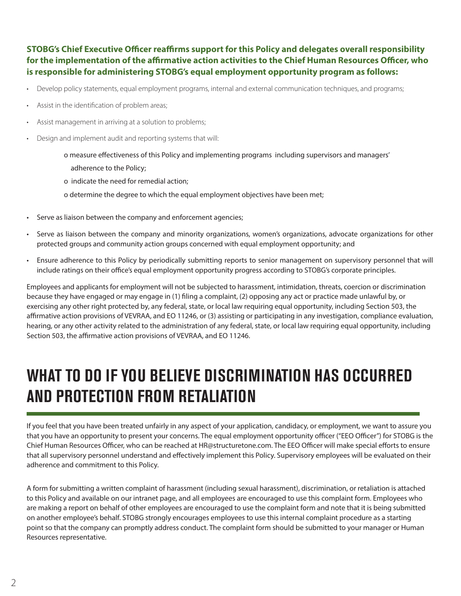# **STOBG's Chief Executive Officer reaffirms support for this Policy and delegates overall responsibility for the implementation of the affirmative action activities to the Chief Human Resources Officer, who is responsible for administering STOBG's equal employment opportunity program as follows:**

- Develop policy statements, equal employment programs, internal and external communication techniques, and programs;
- Assist in the identification of problem areas;
- Assist management in arriving at a solution to problems;
- Design and implement audit and reporting systems that will:
	- o measure effectiveness of this Policy and implementing programs including supervisors and managers' adherence to the Policy;
	- o indicate the need for remedial action;
	- o determine the degree to which the equal employment objectives have been met;
- Serve as liaison between the company and enforcement agencies;
- Serve as liaison between the company and minority organizations, women's organizations, advocate organizations for other protected groups and community action groups concerned with equal employment opportunity; and
- Ensure adherence to this Policy by periodically submitting reports to senior management on supervisory personnel that will include ratings on their office's equal employment opportunity progress according to STOBG's corporate principles.

Employees and applicants for employment will not be subjected to harassment, intimidation, threats, coercion or discrimination because they have engaged or may engage in (1) filing a complaint, (2) opposing any act or practice made unlawful by, or exercising any other right protected by, any federal, state, or local law requiring equal opportunity, including Section 503, the affirmative action provisions of VEVRAA, and EO 11246, or (3) assisting or participating in any investigation, compliance evaluation, hearing, or any other activity related to the administration of any federal, state, or local law requiring equal opportunity, including Section 503, the affirmative action provisions of VEVRAA, and EO 11246.

# **WHAT TO DO IF YOU BELIEVE DISCRIMINATION HAS OCCURRED AND PROTECTION FROM RETALIATION**

If you feel that you have been treated unfairly in any aspect of your application, candidacy, or employment, we want to assure you that you have an opportunity to present your concerns. The equal employment opportunity officer ("EEO Officer") for STOBG is the Chief Human Resources Officer, who can be reached at HR@structuretone.com. The EEO Officer will make special efforts to ensure that all supervisory personnel understand and effectively implement this Policy. Supervisory employees will be evaluated on their adherence and commitment to this Policy.

A form for submitting a written complaint of harassment (including sexual harassment), discrimination, or retaliation is attached to this Policy and available on our intranet page, and all employees are encouraged to use this complaint form. Employees who are making a report on behalf of other employees are encouraged to use the complaint form and note that it is being submitted on another employee's behalf. STOBG strongly encourages employees to use this internal complaint procedure as a starting point so that the company can promptly address conduct. The complaint form should be submitted to your manager or Human Resources representative.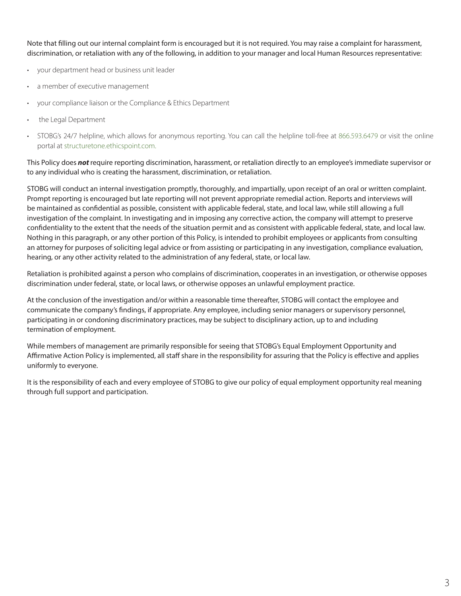Note that filling out our internal complaint form is encouraged but it is not required. You may raise a complaint for harassment, discrimination, or retaliation with any of the following, in addition to your manager and local Human Resources representative:

- your department head or business unit leader
- a member of executive management
- your compliance liaison or the Compliance & Ethics Department
- the Legal Department
- STOBG's 24/7 helpline, which allows for anonymous reporting. You can call the helpline toll-free at 866.593.6479 or visit the online portal a[t structuretone.ethicspoint.com.](https://secure.ethicspoint.com/domain/media/en/gui/28227/index.html)

This Policy does *not* require reporting discrimination, harassment, or retaliation directly to an employee's immediate supervisor or to any individual who is creating the harassment, discrimination, or retaliation.

STOBG will conduct an internal investigation promptly, thoroughly, and impartially, upon receipt of an oral or written complaint. Prompt reporting is encouraged but late reporting will not prevent appropriate remedial action. Reports and interviews will be maintained as confidential as possible, consistent with applicable federal, state, and local law, while still allowing a full investigation of the complaint. In investigating and in imposing any corrective action, the company will attempt to preserve confidentiality to the extent that the needs of the situation permit and as consistent with applicable federal, state, and local law. Nothing in this paragraph, or any other portion of this Policy, is intended to prohibit employees or applicants from consulting an attorney for purposes of soliciting legal advice or from assisting or participating in any investigation, compliance evaluation, hearing, or any other activity related to the administration of any federal, state, or local law.

Retaliation is prohibited against a person who complains of discrimination, cooperates in an investigation, or otherwise opposes discrimination under federal, state, or local laws, or otherwise opposes an unlawful employment practice.

At the conclusion of the investigation and/or within a reasonable time thereafter, STOBG will contact the employee and communicate the company's findings, if appropriate. Any employee, including senior managers or supervisory personnel, participating in or condoning discriminatory practices, may be subject to disciplinary action, up to and including termination of employment.

While members of management are primarily responsible for seeing that STOBG's Equal Employment Opportunity and Affirmative Action Policy is implemented, all staff share in the responsibility for assuring that the Policy is effective and applies uniformly to everyone.

It is the responsibility of each and every employee of STOBG to give our policy of equal employment opportunity real meaning through full support and participation.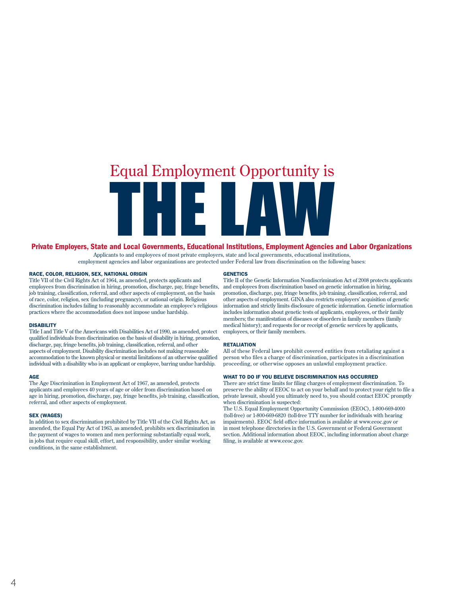# Equal Employment Opportunity is



#### Private Employers, State and Local Governments, Educational Institutions, Employment Agencies and Labor Organizations

Applicants to and employees of most private employers, state and local governments, educational institutions, employment agencies and labor organizations are protected under Federal law from discrimination on the following bases:

#### RACE, COLOR, RELIGION, SEX, NATIONAL ORIGIN

Title VII of the Civil Rights Act of 1964, as amended, protects applicants and employees from discrimination in hiring, promotion, discharge, pay, fringe benefits, job training, classification, referral, and other aspects of employment, on the basis of race, color, religion, sex (including pregnancy), or national origin. Religious discrimination includes failing to reasonably accommodate an employee's religious practices where the accommodation does not impose undue hardship.

#### **DISABILITY**

Title I and Title V of the Americans with Disabilities Act of 1990, as amended, protect qualified individuals from discrimination on the basis of disability in hiring, promotion, discharge, pay, fringe benefits, job training, classification, referral, and other aspects of employment. Disability discrimination includes not making reasonable accommodation to the known physical or mental limitations of an otherwise qualified individual with a disability who is an applicant or employee, barring undue hardship.

#### AGE

The Age Discrimination in Employment Act of 1967, as amended, protects applicants and employees 40 years of age or older from discrimination based on age in hiring, promotion, discharge, pay, fringe benefits, job training, classification, referral, and other aspects of employment.

#### SEX (WAGES)

In addition to sex discrimination prohibited by Title VII of the Civil Rights Act, as amended, the Equal Pay Act of 1963, as amended, prohibits sex discrimination in the payment of wages to women and men performing substantially equal work, in jobs that require equal skill, effort, and responsibility, under similar working conditions, in the same establishment.

#### **GENETICS**

Title II of the Genetic Information Nondiscrimination Act of 2008 protects applicants and employees from discrimination based on genetic information in hiring, promotion, discharge, pay, fringe benefits, job training, classification, referral, and other aspects of employment. GINA also restricts employers' acquisition of genetic information and strictly limits disclosure of genetic information. Genetic information includes information about genetic tests of applicants, employees, or their family members; the manifestation of diseases or disorders in family members (family medical history); and requests for or receipt of genetic services by applicants, employees, or their family members.

#### RETALIATION

All of these Federal laws prohibit covered entities from retaliating against a person who files a charge of discrimination, participates in a discrimination proceeding, or otherwise opposes an unlawful employment practice.

#### WHAT TO DO IF YOU BELIEVE DISCRIMINATION HAS OCCURRED

There are strict time limits for filing charges of employment discrimination. To preserve the ability of EEOC to act on your behalf and to protect your right to file a private lawsuit, should you ultimately need to, you should contact EEOC promptly when discrimination is suspected:

The U.S. Equal Employment Opportunity Commission (EEOC), 1-800-669-4000 (toll-free) or 1-800-669-6820 (toll-free TTY number for individuals with hearing impairments). EEOC field office information is available at www.eeoc.gov or in most telephone directories in the U.S. Government or Federal Government section. Additional information about EEOC, including information about charge filing, is available at www.eeoc.gov.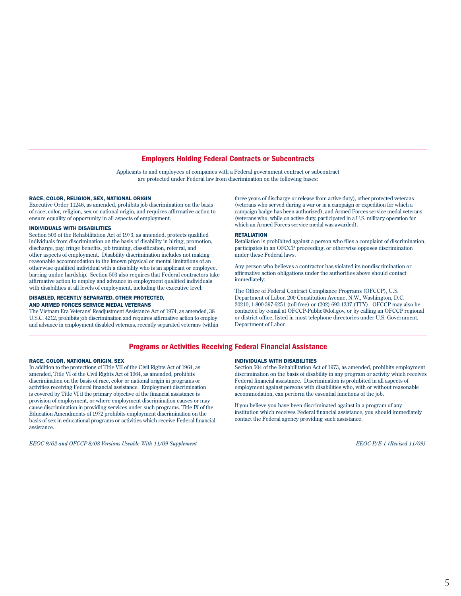#### Employers Holding Federal Contracts or Subcontracts

Applicants to and employees of companies with a Federal government contract or subcontract are protected under Federal law from discrimination on the following bases:

#### RACE, COLOR, RELIGION, SEX, NATIONAL ORIGIN

Executive Order 11246, as amended, prohibits job discrimination on the basis of race, color, religion, sex or national origin, and requires affirmative action to ensure equality of opportunity in all aspects of employment.

#### INDIVIDUALS WITH DISABILITIES

Section 503 of the Rehabilitation Act of 1973, as amended, protects qualified individuals from discrimination on the basis of disability in hiring, promotion, discharge, pay, fringe benefits, job training, classification, referral, and other aspects of employment. Disability discrimination includes not making reasonable accommodation to the known physical or mental limitations of an otherwise qualified individual with a disability who is an applicant or employee, barring undue hardship. Section 503 also requires that Federal contractors take affirmative action to employ and advance in employment qualified individuals with disabilities at all levels of employment, including the executive level.

#### DISABLED, RECENTLY SEPARATED, OTHER PROTECTED, AND ARMED FORCES SERVICE MEDAL VETERANS

The Vietnam Era Veterans' Readjustment Assistance Act of 1974, as amended, 38 U.S.C. 4212, prohibits job discrimination and requires affirmative action to employ and advance in employment disabled veterans, recently separated veterans (within

three years of discharge or release from active duty), other protected veterans (veterans who served during a war or in a campaign or expedition for which a campaign badge has been authorized), and Armed Forces service medal veterans (veterans who, while on active duty, participated in a U.S. military operation for which an Armed Forces service medal was awarded).

#### RETALIATION

Retaliation is prohibited against a person who files a complaint of discrimination, participates in an OFCCP proceeding, or otherwise opposes discrimination under these Federal laws.

Any person who believes a contractor has violated its nondiscrimination or affirmative action obligations under the authorities above should contact immediately:

The Office of Federal Contract Compliance Programs (OFCCP), U.S. Department of Labor, 200 Constitution Avenue, N.W., Washington, D.C. 20210, 1-800-397-6251 (toll-free) or (202) 693-1337 (TTY). OFCCP may also be contacted by e-mail at OFCCP-Public@dol.gov, or by calling an OFCCP regional or district office, listed in most telephone directories under U.S. Government, Department of Labor.

#### Programs or Activities Receiving Federal Financial Assistance

#### RACE, COLOR, NATIONAL ORIGIN, SEX INDIVIDUALS WITH DISABILITIES

discrimination on the basis of race, color or national origin in programs or Federal financial assistance. Discrimination is prohibited in all aspects of activities receiving Federal financial assistance. Employment discrimination employment against persons with disabilities who, with or without reasonable is covered by Title VI if the primary objective of the financial assistance is accommodation, can perform the essential functions of the job. provision of employment, or where employment discrimination causes or may<br>
If you believe you have been discriminated against in a program of any<br>
If you believe you have been discriminated against in a program of any<br>
If Education Amendments of 1972 prohibits employment discrimination on the institution which receives Federal financial<br>has phases of sex in educational programs or activities which receive Federal financial contact the Feder basis of sex in educational programs or activities which receive Federal financial assistance.

*EEOC 9/02 and OFCCP 8/08 Versions Useable With 11/09 Supplement EEOC-P/E-1 (Revised 11/09)* 

In addition to the protections of Title VII of the Civil Rights Act of 1964, as Section 504 of the Rehabilitation Act of 1973, as amended, prohibits employment discrimination on the basis of disability in any program or activity which receives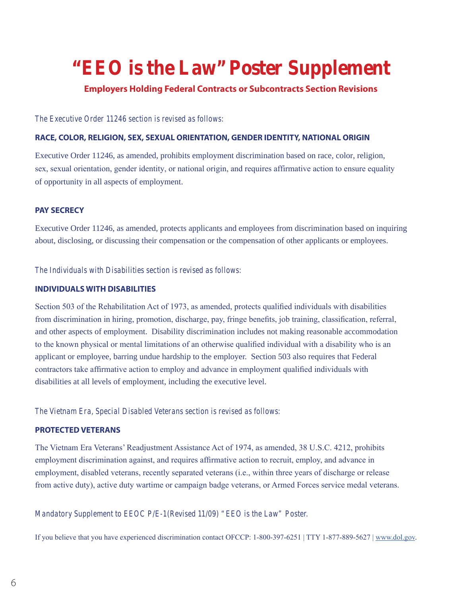# **"EEO is the Law" Poster Supplement**

# **Employers Holding Federal Contracts or Subcontracts Section Revisions**

*The Executive Order 11246 section is revised as follows:* 

## **RACE, COLOR, RELIGION, SEX, SEXUAL ORIENTATION, GENDER IDENTITY, NATIONAL ORIGIN**

Executive Order 11246, as amended, prohibits employment discrimination based on race, color, religion, sex, sexual orientation, gender identity, or national origin, and requires affirmative action to ensure equality of opportunity in all aspects of employment.

### **PAY SECRECY**

Executive Order 11246, as amended, protects applicants and employees from discrimination based on inquiring about, disclosing, or discussing their compensation or the compensation of other applicants or employees.

*The Individuals with Disabilities section is revised as follows:* 

### **INDIVIDUALS WITH DISABILITIES**

Section 503 of the Rehabilitation Act of 1973, as amended, protects qualified individuals with disabilities from discrimination in hiring, promotion, discharge, pay, fringe benefits, job training, classification, referral, and other aspects of employment. Disability discrimination includes not making reasonable accommodation to the known physical or mental limitations of an otherwise qualified individual with a disability who is an applicant or employee, barring undue hardship to the employer. Section 503 also requires that Federal contractors take affirmative action to employ and advance in employment qualified individuals with disabilities at all levels of employment, including the executive level.

*The Vietnam Era, Special Disabled Veterans section is revised as follows:* 

### **PROTECTED VETERANS**

The Vietnam Era Veterans' Readjustment Assistance Act of 1974, as amended, 38 U.S.C. 4212, prohibits employment discrimination against, and requires affirmative action to recruit, employ, and advance in employment, disabled veterans, recently separated veterans (i.e., within three years of discharge or release from active duty), active duty wartime or campaign badge veterans, or Armed Forces service medal veterans.

## *Mandatory Supplement to EEOC P/E-1(Revised 11/09) "EEO is the Law" Poster.*

If you believe that you have experienced discrimination contact OFCCP: 1-800-397-6251 | TTY 1-877-889-5627 | www.dol.gov.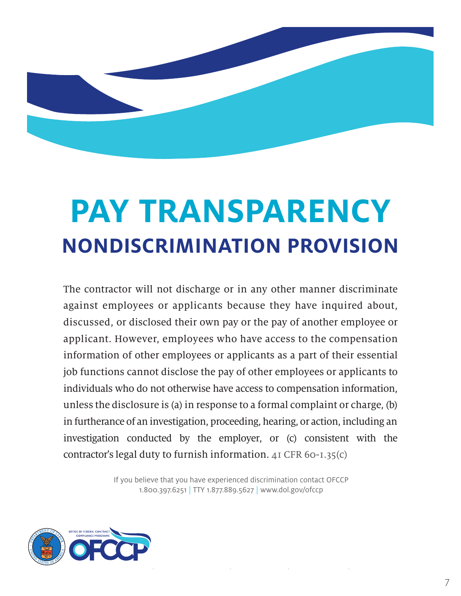

# **PAY TRANSPARENCY NONDISCRIMINATION PROVISION**

The contractor will not discharge or in any other manner discriminate against employees or applicants because they have inquired about, discussed, or disclosed their own pay or the pay of another employee or applicant. However, employees who have access to the compensation information of other employees or applicants as a part of their essential job functions cannot disclose the pay of other employees or applicants to individuals who do not otherwise have access to compensation information, unless the disclosure is (a) in response to a formal complaint or charge, (b) in furtherance of an investigation, proceeding, hearing, or action, including an investigation conducted by the employer, or (c) consistent with the contractor's legal duty to furnish information. 41 CFR 60-1.35(c)

> If you believe that you have experienced discrimination contact OFCCP 1.800.397.6251 | TTY 1.877.889.5627 | www.dol.gov/ofccp

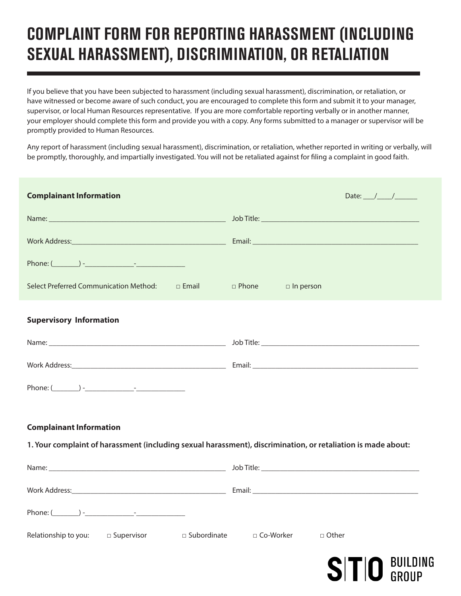# **COMPLAINT FORM FOR REPORTING HARASSMENT (INCLUDING SEXUAL HARASSMENT), DISCRIMINATION, OR RETALIATION**

If you believe that you have been subjected to harassment (including sexual harassment), discrimination, or retaliation, or have witnessed or become aware of such conduct, you are encouraged to complete this form and submit it to your manager, supervisor, or local Human Resources representative. If you are more comfortable reporting verbally or in another manner, your employer should complete this form and provide you with a copy. Any forms submitted to a manager or supervisor will be promptly provided to Human Resources.

Any report of harassment (including sexual harassment), discrimination, or retaliation, whether reported in writing or verbally, will be promptly, thoroughly, and impartially investigated. You will not be retaliated against for filing a complaint in good faith.

| <b>Complainant Information</b>                                                                               |         | Date: $\frac{1}{\sqrt{2}}$ |  |  |  |
|--------------------------------------------------------------------------------------------------------------|---------|----------------------------|--|--|--|
|                                                                                                              |         |                            |  |  |  |
|                                                                                                              |         |                            |  |  |  |
|                                                                                                              |         |                            |  |  |  |
| Select Preferred Communication Method: $\Box$ Email $\Box$ Phone $\Box$ In person                            |         |                            |  |  |  |
| <b>Supervisory Information</b>                                                                               |         |                            |  |  |  |
|                                                                                                              |         |                            |  |  |  |
|                                                                                                              |         |                            |  |  |  |
|                                                                                                              |         |                            |  |  |  |
|                                                                                                              |         |                            |  |  |  |
| <b>Complainant Information</b>                                                                               |         |                            |  |  |  |
| 1. Your complaint of harassment (including sexual harassment), discrimination, or retaliation is made about: |         |                            |  |  |  |
|                                                                                                              |         |                            |  |  |  |
|                                                                                                              |         |                            |  |  |  |
|                                                                                                              |         |                            |  |  |  |
| Relationship to you: $\square$ Supervisor $\square$ Subordinate $\square$ Co-Worker                          | □ Other |                            |  |  |  |

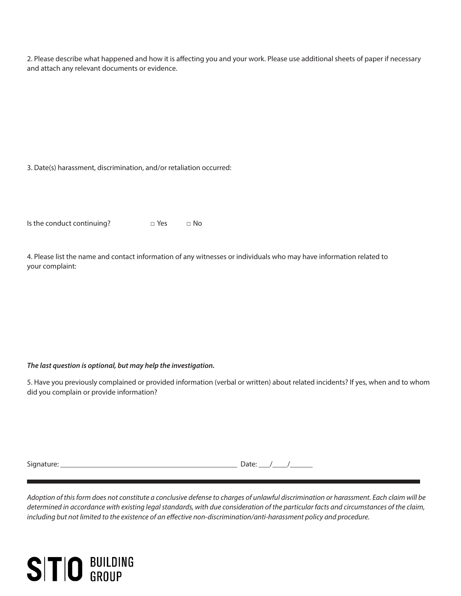2. Please describe what happened and how it is affecting you and your work. Please use additional sheets of paper if necessary and attach any relevant documents or evidence.

3. Date(s) harassment, discrimination, and/or retaliation occurred:

Is the conduct continuing? □ Yes □ No

4. Please list the name and contact information of any witnesses or individuals who may have information related to your complaint:

### *The last question is optional, but may help the investigation.*

5. Have you previously complained or provided information (verbal or written) about related incidents? If yes, when and to whom did you complain or provide information?

| $\overline{\phantom{a}}$<br>. . |  |  |
|---------------------------------|--|--|
|                                 |  |  |

*Adoption of this form does not constitute a conclusive defense to charges of unlawful discrimination or harassment. Each claim will be determined in accordance with existing legal standards, with due consideration of the particular facts and circumstances of the claim, including but not limited to the existence of an effective non-discrimination/anti-harassment policy and procedure.*

# **SITIO BUILDING**